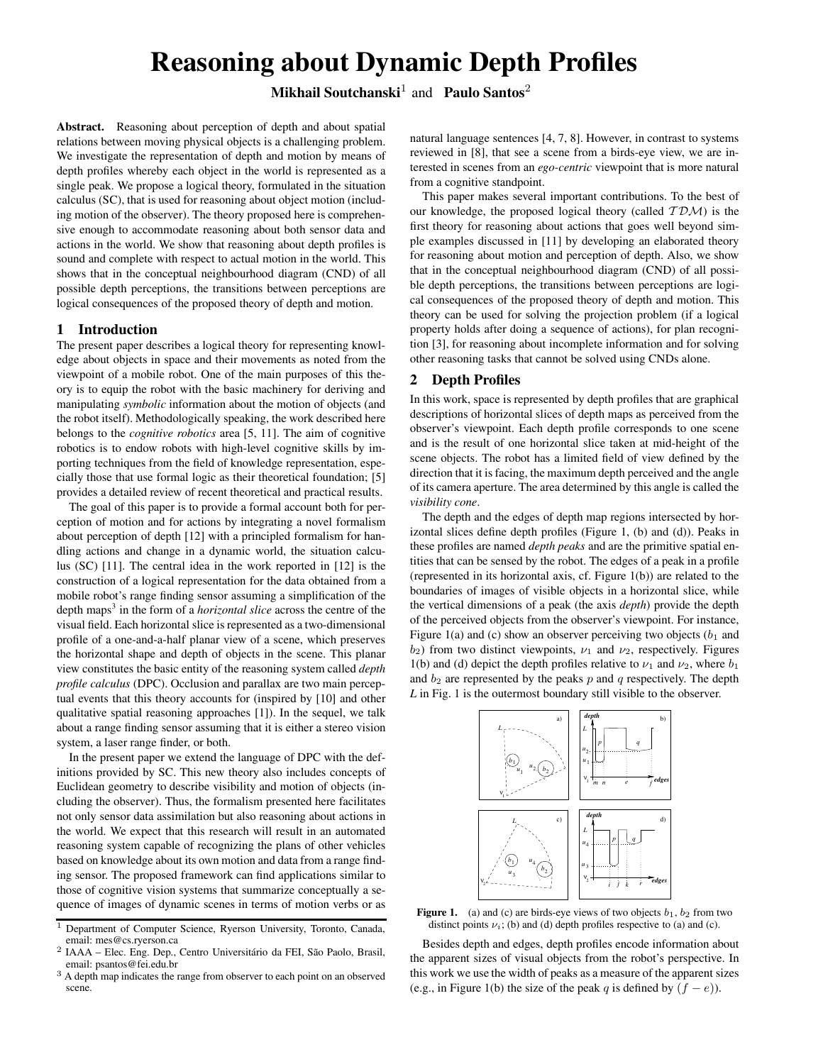# **Reasoning about Dynamic Depth Profiles**

## **Mikhail Soutchanski**<sup>1</sup> and **Paulo Santos**<sup>2</sup>

**Abstract.** Reasoning about perception of depth and about spatial relations between moving physical objects is a challenging problem. We investigate the representation of depth and motion by means of depth profiles whereby each object in the world is represented as a single peak. We propose a logical theory, formulated in the situation calculus (SC), that is used for reasoning about object motion (including motion of the observer). The theory proposed here is comprehensive enough to accommodate reasoning about both sensor data and actions in the world. We show that reasoning about depth profiles is sound and complete with respect to actual motion in the world. This shows that in the conceptual neighbourhood diagram (CND) of all possible depth perceptions, the transitions between perceptions are logical consequences of the proposed theory of depth and motion.

## **1 Introduction**

The present paper describes a logical theory for representing knowledge about objects in space and their movements as noted from the viewpoint of a mobile robot. One of the main purposes of this theory is to equip the robot with the basic machinery for deriving and manipulating *symbolic* information about the motion of objects (and the robot itself). Methodologically speaking, the work described here belongs to the *cognitive robotics* area [5, 11]. The aim of cognitive robotics is to endow robots with high-level cognitive skills by importing techniques from the field of knowledge representation, especially those that use formal logic as their theoretical foundation; [5] provides a detailed review of recent theoretical and practical results.

The goal of this paper is to provide a formal account both for perception of motion and for actions by integrating a novel formalism about perception of depth [12] with a principled formalism for handling actions and change in a dynamic world, the situation calculus (SC) [11]. The central idea in the work reported in [12] is the construction of a logical representation for the data obtained from a mobile robot's range finding sensor assuming a simplification of the depth maps<sup>3</sup> in the form of a *horizontal slice* across the centre of the visual field. Each horizontal slice is represented as a two-dimensional profile of a one-and-a-half planar view of a scene, which preserves the horizontal shape and depth of objects in the scene. This planar view constitutes the basic entity of the reasoning system called *depth profile calculus* (DPC). Occlusion and parallax are two main perceptual events that this theory accounts for (inspired by [10] and other qualitative spatial reasoning approaches [1]). In the sequel, we talk about a range finding sensor assuming that it is either a stereo vision system, a laser range finder, or both.

In the present paper we extend the language of DPC with the definitions provided by SC. This new theory also includes concepts of Euclidean geometry to describe visibility and motion of objects (including the observer). Thus, the formalism presented here facilitates not only sensor data assimilation but also reasoning about actions in the world. We expect that this research will result in an automated reasoning system capable of recognizing the plans of other vehicles based on knowledge about its own motion and data from a range finding sensor. The proposed framework can find applications similar to those of cognitive vision systems that summarize conceptually a sequence of images of dynamic scenes in terms of motion verbs or as natural language sentences [4, 7, 8]. However, in contrast to systems reviewed in [8], that see a scene from a birds-eye view, we are interested in scenes from an *ego-centric* viewpoint that is more natural from a cognitive standpoint.

This paper makes several important contributions. To the best of our knowledge, the proposed logical theory (called  $TDM$ ) is the first theory for reasoning about actions that goes well beyond simple examples discussed in [11] by developing an elaborated theory for reasoning about motion and perception of depth. Also, we show that in the conceptual neighbourhood diagram (CND) of all possible depth perceptions, the transitions between perceptions are logical consequences of the proposed theory of depth and motion. This theory can be used for solving the projection problem (if a logical property holds after doing a sequence of actions), for plan recognition [3], for reasoning about incomplete information and for solving other reasoning tasks that cannot be solved using CNDs alone.

## **2 Depth Profiles**

In this work, space is represented by depth profiles that are graphical descriptions of horizontal slices of depth maps as perceived from the observer's viewpoint. Each depth profile corresponds to one scene and is the result of one horizontal slice taken at mid-height of the scene objects. The robot has a limited field of view defined by the direction that it isfacing, the maximum depth perceived and the angle of its camera aperture. The area determined by this angle is called the *visibility cone*.

The depth and the edges of depth map regions intersected by horizontal slices define depth profiles (Figure 1, (b) and (d)). Peaks in these profiles are named *depth peaks* and are the primitive spatial entities that can be sensed by the robot. The edges of a peak in a profile (represented in its horizontal axis, cf. Figure 1(b)) are related to the boundaries of images of visible objects in a horizontal slice, while the vertical dimensions of a peak (the axis *depth*) provide the depth of the perceived objects from the observer's viewpoint. For instance, Figure 1(a) and (c) show an observer perceiving two objects  $(b_1 \text{ and } b_2 \text{)}$  $b_2$ ) from two distinct viewpoints,  $\nu_1$  and  $\nu_2$ , respectively. Figures 1(b) and (d) depict the depth profiles relative to  $\nu_1$  and  $\nu_2$ , where  $b_1$ and  $b_2$  are represented by the peaks  $p$  and  $q$  respectively. The depth *L* in Fig. 1 is the outermost boundary still visible to the observer.



**Figure 1.** (a) and (c) are birds-eye views of two objects  $b_1$ ,  $b_2$  from two distinct points  $\nu_i$ ; (b) and (d) depth profiles respective to (a) and (c).

Besides depth and edges, depth profiles encode information about the apparent sizes of visual objects from the robot's perspective. In this work we use the width of peaks as a measure of the apparent sizes (e.g., in Figure 1(b) the size of the peak q is defined by  $(f - e)$ ).

<sup>&</sup>lt;sup>1</sup> Department of Computer Science, Ryerson University, Toronto, Canada, email: mes@cs.ryerson.ca

<sup>&</sup>lt;sup>2</sup> IAAA – Elec. Eng. Dep., Centro Universitário da FEI, São Paolo, Brasil, email: psantos@fei.edu.br

<sup>&</sup>lt;sup>3</sup> A depth map indicates the range from observer to each point on an observed scene.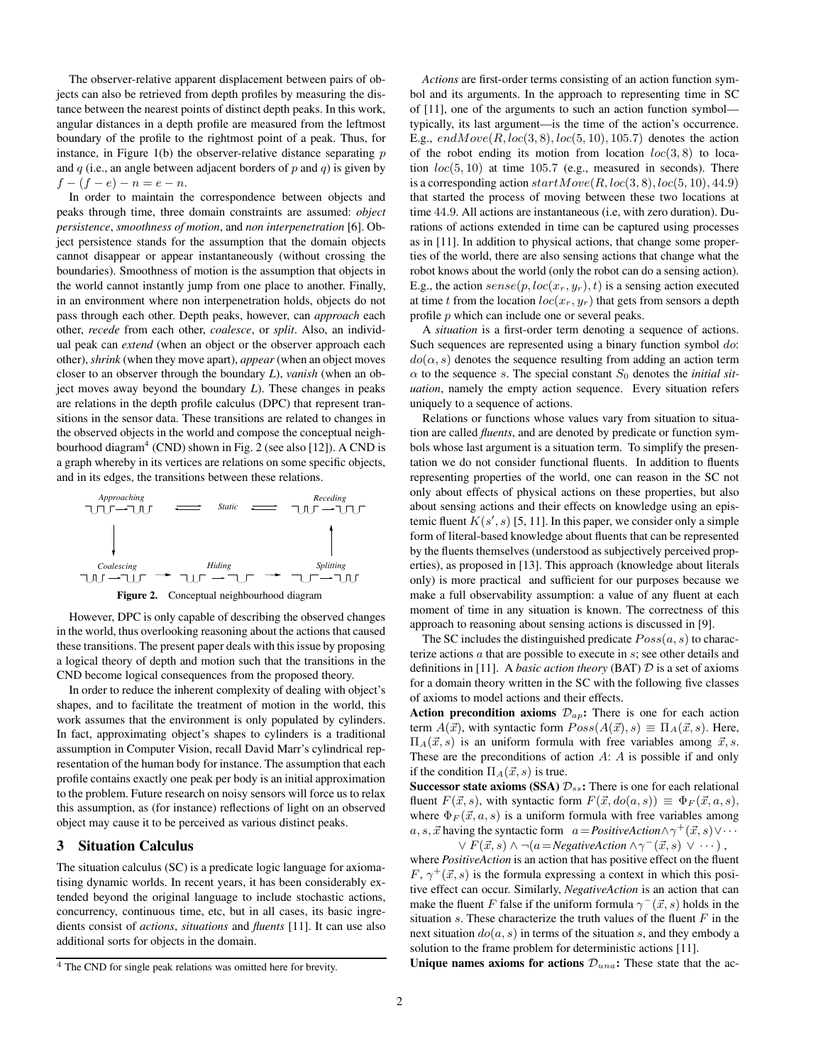The observer-relative apparent displacement between pairs of objects can also be retrieved from depth profiles by measuring the distance between the nearest points of distinct depth peaks. In this work, angular distances in a depth profile are measured from the leftmost boundary of the profile to the rightmost point of a peak. Thus, for instance, in Figure 1(b) the observer-relative distance separating  $p$ and  $q$  (i.e., an angle between adjacent borders of  $p$  and  $q$ ) is given by  $f - (f - e) - n = e - n.$ 

In order to maintain the correspondence between objects and peaks through time, three domain constraints are assumed: *object persistence*, *smoothness of motion*, and *non interpenetration* [6]. Object persistence stands for the assumption that the domain objects cannot disappear or appear instantaneously (without crossing the boundaries). Smoothness of motion is the assumption that objects in the world cannot instantly jump from one place to another. Finally, in an environment where non interpenetration holds, objects do not pass through each other. Depth peaks, however, can *approach* each other, *recede* from each other, *coalesce*, or *split*. Also, an individual peak can *extend* (when an object or the observer approach each other),*shrink* (when they move apart), *appear* (when an object moves closer to an observer through the boundary *L*), *vanish* (when an object moves away beyond the boundary *L*). These changes in peaks are relations in the depth profile calculus (DPC) that represent transitions in the sensor data. These transitions are related to changes in the observed objects in the world and compose the conceptual neighbourhood diagram<sup>4</sup> (CND) shown in Fig. 2 (see also [12]). A CND is a graph whereby in its vertices are relations on some specific objects, and in its edges, the transitions between these relations.



However, DPC is only capable of describing the observed changes in the world, thus overlooking reasoning about the actions that caused these transitions. The present paper deals with this issue by proposing a logical theory of depth and motion such that the transitions in the CND become logical consequences from the proposed theory.

In order to reduce the inherent complexity of dealing with object's shapes, and to facilitate the treatment of motion in the world, this work assumes that the environment is only populated by cylinders. In fact, approximating object's shapes to cylinders is a traditional assumption in Computer Vision, recall David Marr's cylindrical representation of the human body for instance. The assumption that each profile contains exactly one peak per body is an initial approximation to the problem. Future research on noisy sensors will force us to relax this assumption, as (for instance) reflections of light on an observed object may cause it to be perceived as various distinct peaks.

## **3 Situation Calculus**

The situation calculus (SC) is a predicate logic language for axiomatising dynamic worlds. In recent years, it has been considerably extended beyond the original language to include stochastic actions, concurrency, continuous time, etc, but in all cases, its basic ingredients consist of *actions*, *situations* and *fluents* [11]. It can use also additional sorts for objects in the domain.

*Actions* are first-order terms consisting of an action function symbol and its arguments. In the approach to representing time in SC of [11], one of the arguments to such an action function symbol typically, its last argument—is the time of the action's occurrence. E.g.,  $endMove(R, loc(3, 8), loc(5, 10), 105.7)$  denotes the action of the robot ending its motion from location  $loc(3, 8)$  to location  $loc(5, 10)$  at time 105.7 (e.g., measured in seconds). There is a corresponding action  $startMove(R, loc(3, 8), loc(5, 10), 44.9)$ that started the process of moving between these two locations at time 44.9. All actions are instantaneous (i.e, with zero duration). Durations of actions extended in time can be captured using processes as in [11]. In addition to physical actions, that change some properties of the world, there are also sensing actions that change what the robot knows about the world (only the robot can do a sensing action). E.g., the action  $sense(p, loc(x_r, y_r), t)$  is a sensing action executed at time t from the location  $loc(x_r, y_r)$  that gets from sensors a depth profile  $p$  which can include one or several peaks.

A *situation* is a first-order term denoting a sequence of actions. Such sequences are represented using a binary function symbol  $do$ :  $do(\alpha, s)$  denotes the sequence resulting from adding an action term  $\alpha$  to the sequence *s*. The special constant  $S_0$  denotes the *initial situation*, namely the empty action sequence. Every situation refers uniquely to a sequence of actions.

Relations or functions whose values vary from situation to situation are called *fluents*, and are denoted by predicate or function symbols whose last argument is a situation term. To simplify the presentation we do not consider functional fluents. In addition to fluents representing properties of the world, one can reason in the SC not only about effects of physical actions on these properties, but also about sensing actions and their effects on knowledge using an epistemic fluent  $K(s', s)$  [5, 11]. In this paper, we consider only a simple form of literal-based knowledge about fluents that can be represented by the fluents themselves (understood as subjectively perceived properties), as proposed in [13]. This approach (knowledge about literals only) is more practical and sufficient for our purposes because we make a full observability assumption: a value of any fluent at each moment of time in any situation is known. The correctness of this approach to reasoning about sensing actions is discussed in [9].

The SC includes the distinguished predicate  $Poss(a, s)$  to characterize actions a that are possible to execute in s; see other details and definitions in [11]. A *basic action theory* (BAT) D is a set of axioms for a domain theory written in the SC with the following five classes of axioms to model actions and their effects.

**Action precondition axioms**  $\mathcal{D}_{ap}$ **: There is one for each action** term  $A(\vec{x})$ , with syntactic form  $Poss(A(\vec{x}), s) \equiv \Pi_A(\vec{x}, s)$ . Here,  $\Pi_A(\vec{x}, s)$  is an uniform formula with free variables among  $\vec{x}, s$ . These are the preconditions of action  $A: A$  is possible if and only if the condition  $\Pi_A(\vec{x}, s)$  is true.

**Successor state axioms (SSA)**  $\mathcal{D}_{ss}$ **:** There is one for each relational fluent  $F(\vec{x}, s)$ , with syntactic form  $F(\vec{x}, do(a, s)) \equiv \Phi_F(\vec{x}, a, s)$ , where  $\Phi_F(\vec{x}, a, s)$  is a uniform formula with free variables among a, s,  $\vec{x}$  having the syntactic form  $a = PositiveAction \wedge \gamma^+(\vec{x}, s) \vee \cdots$  $\forall F(\vec{x}, s) \land \neg(a = NegativeAction \land \gamma^-(\vec{x}, s) \lor \cdots),$ 

where *PositiveAction* is an action that has positive effect on the fluent  $F, \gamma^+(\vec{x}, s)$  is the formula expressing a context in which this positive effect can occur. Similarly, *NegativeAction* is an action that can make the fluent F false if the uniform formula  $\gamma^-(\vec{x}, s)$  holds in the situation s. These characterize the truth values of the fluent  $F$  in the next situation  $do(a, s)$  in terms of the situation s, and they embody a solution to the frame problem for deterministic actions [11].

**Unique names axioms for actions**  $\mathcal{D}_{una}$ **: These state that the ac-**

<sup>&</sup>lt;sup>4</sup> The CND for single peak relations was omitted here for brevity.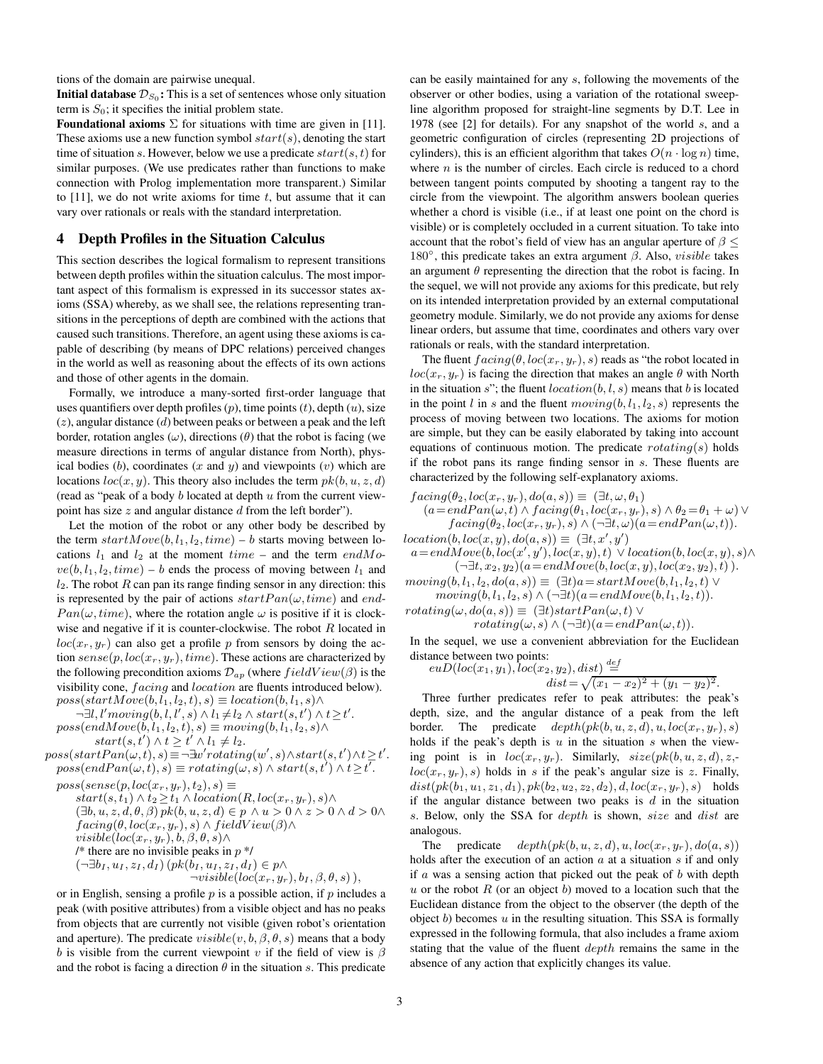tions of the domain are pairwise unequal.

**Initial database**  $\mathcal{D}_{S_0}$ : This is a set of sentences whose only situation term is  $S_0$ ; it specifies the initial problem state.

**Foundational axioms**  $\Sigma$  for situations with time are given in [11]. These axioms use a new function symbol  $start(s)$ , denoting the start time of situation s. However, below we use a predicate  $start(s, t)$  for similar purposes. (We use predicates rather than functions to make connection with Prolog implementation more transparent.) Similar to  $[11]$ , we do not write axioms for time t, but assume that it can vary over rationals or reals with the standard interpretation.

### **4 Depth Profiles in the Situation Calculus**

This section describes the logical formalism to represent transitions between depth profiles within the situation calculus. The most important aspect of this formalism is expressed in its successor states axioms (SSA) whereby, as we shall see, the relations representing transitions in the perceptions of depth are combined with the actions that caused such transitions. Therefore, an agent using these axioms is capable of describing (by means of DPC relations) perceived changes in the world as well as reasoning about the effects of its own actions and those of other agents in the domain.

Formally, we introduce a many-sorted first-order language that uses quantifiers over depth profiles  $(p)$ , time points  $(t)$ , depth  $(u)$ , size  $(z)$ , angular distance  $(d)$  between peaks or between a peak and the left border, rotation angles  $(\omega)$ , directions  $(\theta)$  that the robot is facing (we measure directions in terms of angular distance from North), physical bodies  $(b)$ , coordinates  $(x \text{ and } y)$  and viewpoints  $(v)$  which are locations  $loc(x, y)$ . This theory also includes the term  $pk(b, u, z, d)$ (read as "peak of a body  $b$  located at depth  $u$  from the current viewpoint has size  $z$  and angular distance  $d$  from the left border").

Let the motion of the robot or any other body be described by the term  $startMove(b, l_1, l_2, time) - b$  starts moving between locations  $l_1$  and  $l_2$  at the moment  $time$  – and the term  $endMo$  $ve(b, l_1, l_2, time) - b$  ends the process of moving between  $l_1$  and  $l_2$ . The robot  $R$  can pan its range finding sensor in any direction: this is represented by the pair of actions  $startPan(\omega,time)$  and end- $Pan(\omega, time)$ , where the rotation angle  $\omega$  is positive if it is clockwise and negative if it is counter-clockwise. The robot  $R$  located in  $loc(x_r, y_r)$  can also get a profile p from sensors by doing the action  $sense(p, loc(x_r, y_r), time)$ . These actions are characterized by the following precondition axioms  $\mathcal{D}_{ap}$  (where  $fieldView(\beta)$  is the visibility cone, facing and location are fluents introduced below).  $poss(startMove(b, l_1, l_2, t), s) \equiv location(b, l_1, s) \wedge \neg \exists l, l'moving(b, l, l', s) \wedge l_1 \neq l_2 \wedge start(s, t') \wedge \neg \exists l, l'moving(b, l, l', s) \wedge l_1 \neq l_2 \wedge start(s, t')$ 

$$
\neg \exists l, l'moving(b, l, l', s) \land l_1 \neq l_2 \land start(s, t') \land t \geq t'.
$$
  
\n
$$
poss(endMove(b, l_1, l_2, t), s) \equiv moving(b, l_1, l_2, s) \land
$$
  
\n
$$
start(s, t') \land t \geq t' \land l_1 \neq l_2.
$$

$$
poss(startPan(\omega,t),s) \equiv \neg \exists w'rotating(w',s) \land start(s,t') \land t \geq t'.
$$
  

$$
poss(endPan(\omega,t),s) \equiv rotating(\omega,s) \land start(s,t') \land t \geq t'.
$$

 $poss(sense(p,loc(x_r, y_r), t_2), s) \equiv$ 

 $start(s,t_1) \wedge t_2 \geq t_1 \wedge location(R,loc(x_r,y_r),s) \wedge$  $(\exists b, u, z, d, \theta, \beta)$  pk $(b, u, z, d) \in p \land u > 0 \land z > 0 \land d > 0 \land$ 

$$
facing(\theta, loc(x_r, y_r), s) \land fieldView(\beta) \land
$$

 $visible(loc(x_r, y_r), b, \beta, \theta, s) \wedge$ 

/\* there are no invisible peaks in  $p$  \*/

$$
(\neg \exists b_I, u_I, z_I, d_I) (pk(b_I, u_I, z_I, d_I) \in p \land
$$

$$
\neg visible(loc(x_r, y_r), b_I, \beta, \theta, s)),
$$

or in English, sensing a profile  $p$  is a possible action, if  $p$  includes a peak (with positive attributes) from a visible object and has no peaks from objects that are currently not visible (given robot's orientation and aperture). The predicate  $visible(v, b, \beta, \theta, s)$  means that a body b is visible from the current viewpoint v if the field of view is  $\beta$ and the robot is facing a direction  $\theta$  in the situation s. This predicate

can be easily maintained for any s, following the movements of the observer or other bodies, using a variation of the rotational sweepline algorithm proposed for straight-line segments by D.T. Lee in 1978 (see [2] for details). For any snapshot of the world s, and a geometric configuration of circles (representing 2D projections of cylinders), this is an efficient algorithm that takes  $O(n \cdot \log n)$  time, where  $n$  is the number of circles. Each circle is reduced to a chord between tangent points computed by shooting a tangent ray to the circle from the viewpoint. The algorithm answers boolean queries whether a chord is visible (i.e., if at least one point on the chord is visible) or is completely occluded in a current situation. To take into account that the robot's field of view has an angular aperture of  $\beta$  < 180 $^{\circ}$ , this predicate takes an extra argument  $\beta$ . Also, *visible* takes an argument  $\theta$  representing the direction that the robot is facing. In the sequel, we will not provide any axioms for this predicate, but rely on its intended interpretation provided by an external computational geometry module. Similarly, we do not provide any axioms for dense linear orders, but assume that time, coordinates and others vary over rationals or reals, with the standard interpretation.

The fluent  $facing(\theta, loc(x_r, y_r), s)$  reads as "the robot located in  $loc(x_r, y_r)$  is facing the direction that makes an angle  $\theta$  with North in the situation s"; the fluent  $location(b, l, s)$  means that b is located in the point l in s and the fluent  $moving(b, l_1, l_2, s)$  represents the process of moving between two locations. The axioms for motion are simple, but they can be easily elaborated by taking into account equations of continuous motion. The predicate  $rotating(s)$  holds if the robot pans its range finding sensor in s. These fluents are characterized by the following self-explanatory axioms.

$$
facing(\theta_2, loc(x_r, y_r), do(a, s)) \equiv (\exists t, \omega, \theta_1)
$$

 $(a=endPan(\omega,t) \wedge facing(\theta_1, loc(x_r, y_r), s) \wedge \theta_2 = \theta_1 + \omega$ )  $\vee$  $facing(\theta_2, loc(x_r, y_r), s) \wedge (\neg \exists t, \omega)(a = endPan(\omega, t)).$ 

 $location(b, loc(x, y), do(a, s)) \equiv (\exists t, x', y')$ 

 $a\!=\! endMove(b, loc(x', y'), loc(x, y), t) \vee location(b, loc(x, y), s) \wedge$  $(\neg \exists t, x_2, y_2)(a = endMove(b, loc(x, y), loc(x_2, y_2), t)).$ 

 $moving(b, l_1, l_2, do(a, s)) \equiv (\exists t)a = startMove(b, l_1, l_2, t) \vee$  $moving(b, l_1, l_2, s) \wedge (\neg \exists t)(a = endMove(b, l_1, l_2, t)).$ 

$$
rotating(\omega, do(a, s)) \equiv (\exists t) start Pan(\omega, t) \vee \nrotating(\omega, s) \wedge (\neg \exists t) (a = endPan(\omega, t)).
$$

In the sequel, we use a convenient abbreviation for the Euclidean distance between two points:

$$
euD(loc(x_1, y_1), loc(x_2, y_2), dist) \stackrel{def}{=} \\ dist = \sqrt{(x_1 - x_2)^2 + (y_1 - y_2)^2}.
$$

Three further predicates refer to peak attributes: the peak's depth, size, and the angular distance of a peak from the left border. The predicate  $depth(pk(b, u, z, d), u, loc(x_r, y_r), s)$ holds if the peak's depth is  $u$  in the situation  $s$  when the viewing point is in  $loc(x_r, y_r)$ . Similarly,  $size(pk(b, u, z, d), z,$  $loc(x_r, y_r), s)$  holds in s if the peak's angular size is z. Finally,  $dist(pk(b_1, u_1, z_1, d_1), pk(b_2, u_2, z_2, d_2), d, loc(x_r, y_r), s)$  holds if the angular distance between two peaks is  $d$  in the situation s. Below, only the SSA for depth is shown, size and dist are analogous.

The predicate  $depth(pk(b, u, z, d), u, loc(x_r, y_r), do(a, s))$ holds after the execution of an action  $a$  at a situation  $s$  if and only if  $\alpha$  was a sensing action that picked out the peak of  $\alpha$  with depth u or the robot  $R$  (or an object  $b$ ) moved to a location such that the Euclidean distance from the object to the observer (the depth of the object  $b$ ) becomes  $u$  in the resulting situation. This SSA is formally expressed in the following formula, that also includes a frame axiom stating that the value of the fluent depth remains the same in the absence of any action that explicitly changes its value.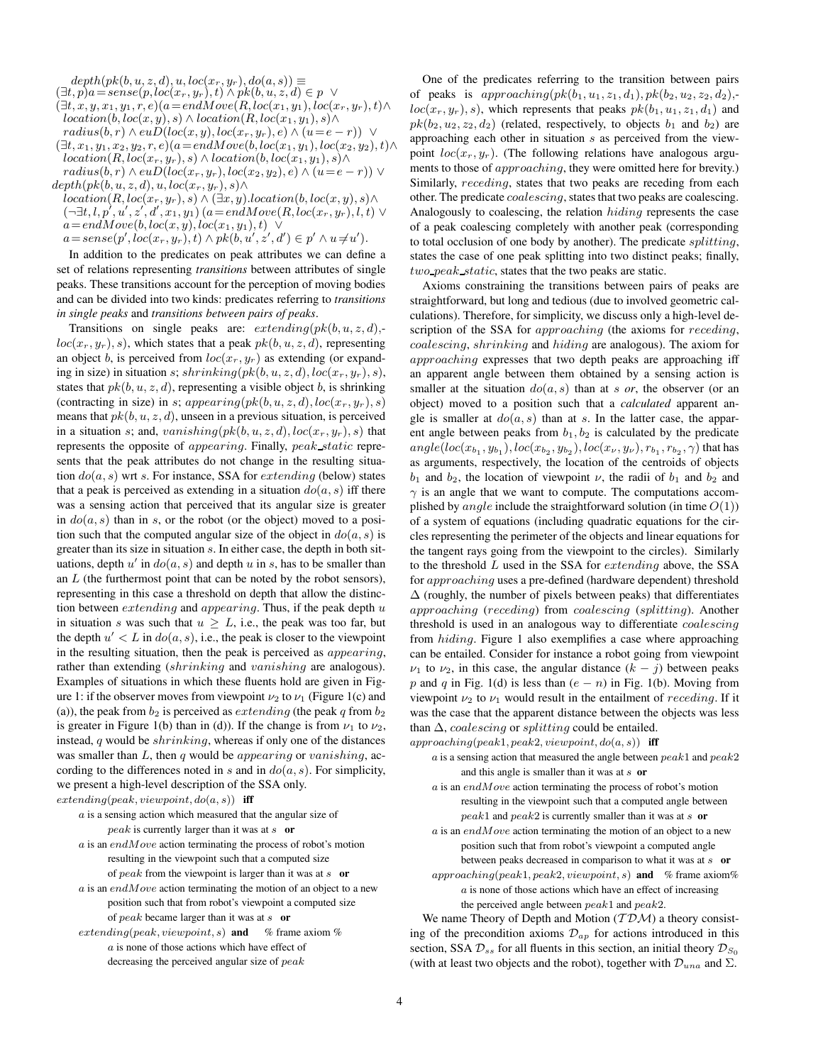$depth(pk(b, u, z, d), u, loc(x_r, y_r), do(a, s)) \equiv$  $(\exists t, p) a = sense(p, loc(x_r, y_r), t) \wedge pk(b, u, z, d) \in p \ \vee$  $(\exists t, x, y, x_1, y_1, r, e) (a = endMove(R, loc(x_1, y_1), loc(x_r, y_r), t) \wedge$  $location(b, loc(x, y), s) \wedge location(R, loc(x_1, y_1), s) \wedge$  $radius(b, r) \wedge e \mu D(loc(x, y), loc(x_r, y_r), e) \wedge (u=e-r)) \vee$  $(\exists t, x_1, y_1, x_2, y_2, r, e) (a = endMove(b, loc(x_1, y_1), loc(x_2, y_2), t) \wedge$  $location(R, loc(x_r, y_r), s) \wedge location(b, loc(x_1, y_1), s) \wedge$  $radius(b, r) \wedge e \mu D(loc(x_r, y_r), loc(x_2, y_2), e) \wedge (u=e-r)) \vee$  $depth(pk(b, u, z, d), u, loc(x_r, y_r), s) \wedge$ 

 $location(R, loc(x<sub>r</sub>, y<sub>r</sub>), s) \wedge (\exists x, y).location(b, loc(x, y), s) \wedge$  $(\neg \exists t, l, p', u', z', d', x_1, y_1)$   $(a = endMove(R, loc(x_r, y_r), l, t) \vee$  $a=endMove(b, loc(x, y), loc(x_1, y_1),t) \ \lor$  $a = sense(p', loc(x_r, y_r), t) \wedge pk(b, u', z', d') \in p' \wedge u \neq u').$ 

In addition to the predicates on peak attributes we can define a set of relations representing *transitions* between attributes of single peaks. These transitions account for the perception of moving bodies and can be divided into two kinds: predicates referring to *transitions in single peaks* and *transitions between pairs of peaks*.

Transitions on single peaks are:  $extending(pk(b, u, z, d),$  $loc(x_r, y_r), s$ , which states that a peak  $pk(b, u, z, d)$ , representing an object b, is perceived from  $loc(x_r, y_r)$  as extending (or expanding in size) in situation s;  $shrinking(pk(b, u, z, d), loc(x_r, y_r), s),$ states that  $pk(b, u, z, d)$ , representing a visible object b, is shrinking (contracting in size) in s; appearing(pk(b, u, z, d),  $loc(x_r, y_r), s)$ means that  $pk(b, u, z, d)$ , unseen in a previous situation, is perceived in a situation s; and,  $vanishing(pk(b, u, z, d), loc(x_r, y_r), s)$  that represents the opposite of appearing. Finally, peak static represents that the peak attributes do not change in the resulting situation  $do(a, s)$  wrt s. For instance, SSA for *extending* (below) states that a peak is perceived as extending in a situation  $do(a, s)$  iff there was a sensing action that perceived that its angular size is greater in  $do(a, s)$  than in s, or the robot (or the object) moved to a position such that the computed angular size of the object in  $do(a, s)$  is greater than its size in situation s. In either case, the depth in both situations, depth u' in  $do(a, s)$  and depth u in s, has to be smaller than an  $L$  (the furthermost point that can be noted by the robot sensors), representing in this case a threshold on depth that allow the distinction between  $extending$  and  $appearing$ . Thus, if the peak depth  $u$ in situation s was such that  $u \geq L$ , i.e., the peak was too far, but the depth  $u' < L$  in  $do(a, s)$ , i.e., the peak is closer to the viewpoint in the resulting situation, then the peak is perceived as appearing, rather than extending *(shrinking and vanishing are analogous)*. Examples of situations in which these fluents hold are given in Figure 1: if the observer moves from viewpoint  $\nu_2$  to  $\nu_1$  (Figure 1(c) and (a)), the peak from  $b_2$  is perceived as *extending* (the peak q from  $b_2$ is greater in Figure 1(b) than in (d)). If the change is from  $\nu_1$  to  $\nu_2$ , instead, q would be  $shrinking$ , whereas if only one of the distances was smaller than  $L$ , then q would be appearing or vanishing, according to the differences noted in s and in  $do(a, s)$ . For simplicity, we present a high-level description of the SSA only.

 $extending(peak, viewpoint, do(a, s))$  **iff** 

- $a$  is a sensing action which measured that the angular size of peak is currently larger than it was at s **or**
- $a$  is an  $endMove$  action terminating the process of robot's motion resulting in the viewpoint such that a computed size of peak from the viewpoint is larger than it was at s **or**
- $a$  is an  $endMove$  action terminating the motion of an object to a new position such that from robot's viewpoint a computed size of peak became larger than it was at s **or**
- $extending(peak, viewpoint, s)$  and % frame axiom % a is none of those actions which have effect of decreasing the perceived angular size of peak

One of the predicates referring to the transition between pairs of peaks is  $approaching(pk(b_1, u_1, z_1, d_1), pk(b_2, u_2, z_2, d_2),$  $loc(x_r, y_r), s$ , which represents that peaks  $pk(b_1, u_1, z_1, d_1)$  and  $pk(b_2, u_2, z_2, d_2)$  (related, respectively, to objects  $b_1$  and  $b_2$ ) are approaching each other in situation s as perceived from the viewpoint  $loc(x_r, y_r)$ . (The following relations have analogous arguments to those of approaching, they were omitted here for brevity.) Similarly, receding, states that two peaks are receding from each other. The predicate coalescing, states that two peaks are coalescing. Analogously to coalescing, the relation hiding represents the case of a peak coalescing completely with another peak (corresponding to total occlusion of one body by another). The predicate splitting, states the case of one peak splitting into two distinct peaks; finally, two peak static, states that the two peaks are static.

Axioms constraining the transitions between pairs of peaks are straightforward, but long and tedious (due to involved geometric calculations). Therefore, for simplicity, we discuss only a high-level description of the SSA for *approaching* (the axioms for *receding*, coalescing, shrinking and hiding are analogous). The axiom for approaching expresses that two depth peaks are approaching iff an apparent angle between them obtained by a sensing action is smaller at the situation  $do(a, s)$  than at *s or*, the observer (or an object) moved to a position such that a *calculated* apparent angle is smaller at  $do(a, s)$  than at s. In the latter case, the apparent angle between peaks from  $b_1$ ,  $b_2$  is calculated by the predicate  $angle(loc(x_{b_1}, y_{b_1}), loc(x_{b_2}, y_{b_2}), loc(x_{\nu}, y_{\nu}), r_{b_1}, r_{b_2}, \gamma)$  that has as arguments, respectively, the location of the centroids of objects  $b_1$  and  $b_2$ , the location of viewpoint  $\nu$ , the radii of  $b_1$  and  $b_2$  and  $\gamma$  is an angle that we want to compute. The computations accomplished by *angle* include the straightforward solution (in time  $O(1)$ ) of a system of equations (including quadratic equations for the circles representing the perimeter of the objects and linear equations for the tangent rays going from the viewpoint to the circles). Similarly to the threshold L used in the SSA for extending above, the SSA for approaching uses a pre-defined (hardware dependent) threshold  $\Delta$  (roughly, the number of pixels between peaks) that differentiates approaching (receding) from coalescing (splitting). Another threshold is used in an analogous way to differentiate coalescing from hiding. Figure 1 also exemplifies a case where approaching can be entailed. Consider for instance a robot going from viewpoint  $\nu_1$  to  $\nu_2$ , in this case, the angular distance  $(k - j)$  between peaks p and q in Fig. 1(d) is less than  $(e - n)$  in Fig. 1(b). Moving from viewpoint  $\nu_2$  to  $\nu_1$  would result in the entailment of receding. If it was the case that the apparent distance between the objects was less than  $\Delta$ , coalescing or splitting could be entailed.

 $approaching(peak1, peak2, viewpoint, do(a, s))$  **iff** 

- $a$  is a sensing action that measured the angle between  $peak1$  and  $peak2$ and this angle is smaller than it was at s **or**
- $a$  is an  $endMove$  action terminating the process of robot's motion resulting in the viewpoint such that a computed angle between  $peak1$  and  $peak2$  is currently smaller than it was at  $s$  or
- $a$  is an end M ove action terminating the motion of an object to a new position such that from robot's viewpoint a computed angle between peaks decreased in comparison to what it was at s **or**
- $approaching (peak1, peak2, view point, s)$  and % frame axiom%  $a$  is none of those actions which have an effect of increasing the perceived angle between  $peak1$  and  $peak2$ .

We name Theory of Depth and Motion  $(TDM)$  a theory consisting of the precondition axioms  $\mathcal{D}_{ap}$  for actions introduced in this section, SSA  $\mathcal{D}_{ss}$  for all fluents in this section, an initial theory  $\mathcal{D}_{S_0}$ (with at least two objects and the robot), together with  $\mathcal{D}_{una}$  and  $\Sigma$ .